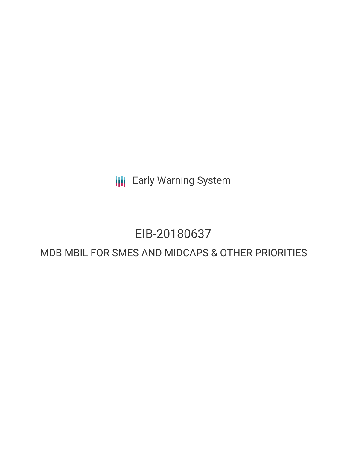**III** Early Warning System

# EIB-20180637

## MDB MBIL FOR SMES AND MIDCAPS & OTHER PRIORITIES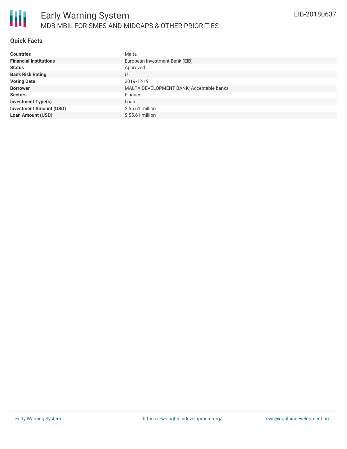#### **Quick Facts**

| <b>Countries</b>               | Malta                                    |
|--------------------------------|------------------------------------------|
| <b>Financial Institutions</b>  | European Investment Bank (EIB)           |
| <b>Status</b>                  | Approved                                 |
| <b>Bank Risk Rating</b>        | U                                        |
| <b>Voting Date</b>             | 2019-12-19                               |
| <b>Borrower</b>                | MALTA DEVELOPMENT BANK; Acceptable banks |
| <b>Sectors</b>                 | Finance                                  |
| <b>Investment Type(s)</b>      | Loan                                     |
| <b>Investment Amount (USD)</b> | $$55.61$ million                         |
| <b>Loan Amount (USD)</b>       | \$55.61 million                          |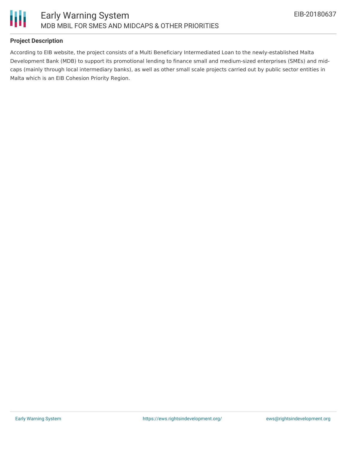

### **Project Description**

According to EIB website, the project consists of a Multi Beneficiary Intermediated Loan to the newly-established Malta Development Bank (MDB) to support its promotional lending to finance small and medium-sized enterprises (SMEs) and midcaps (mainly through local intermediary banks), as well as other small scale projects carried out by public sector entities in Malta which is an EIB Cohesion Priority Region.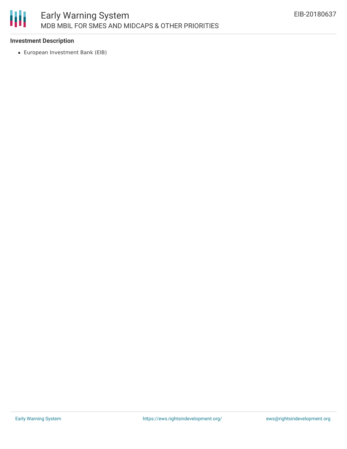

#### **Investment Description**

European Investment Bank (EIB)